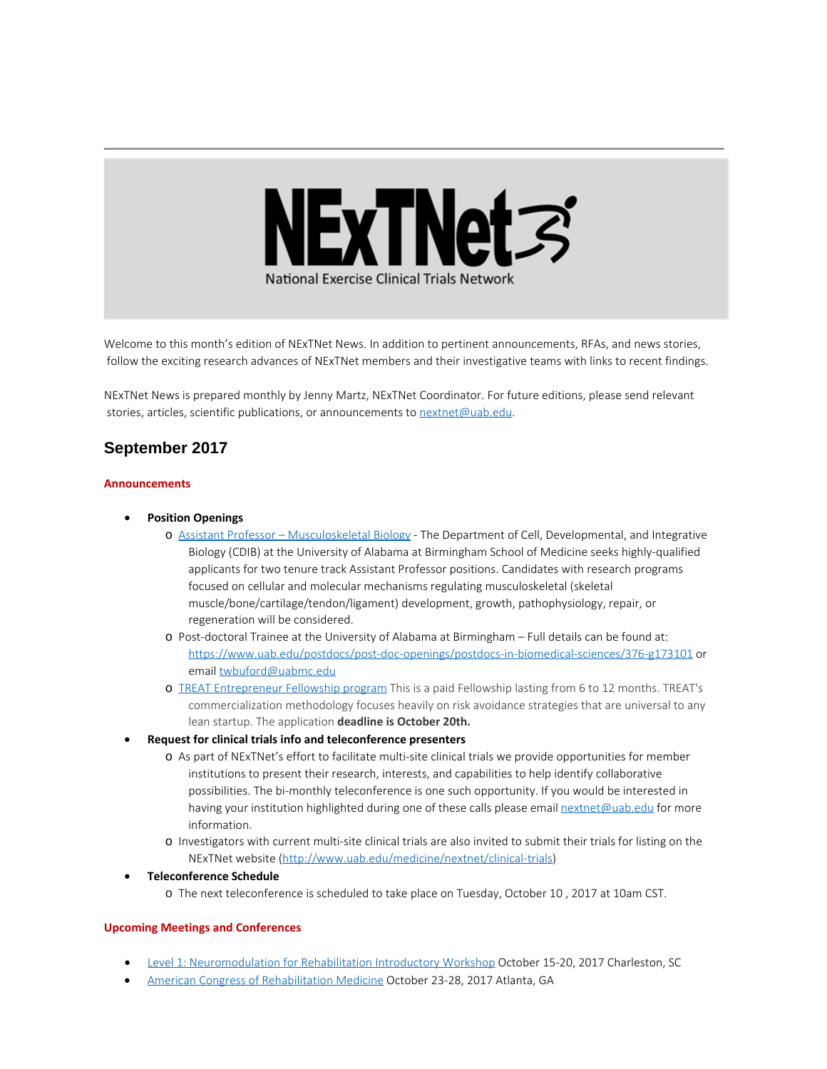

Welcome to this month's edition of NExTNet News. In addition to pertinent announcements, RFAs, and news stories, follow the exciting research advances of NExTNet members and their investigative teams with links to recent findings.

NExTNet News is prepared monthly by Jenny Martz, NExTNet Coordinator. For future editions, please send relevant stories, articles, scientific publications, or announcements to [nextnet@uab.edu](mailto:nextnet@uab.edu).

# **September 2017**

#### **Announcements**

- · **Position Openings**
	- o [Assistant Professor Musculoskeletal Biology](https://uab.peopleadmin.com/postings/3292) The Department of Cell, Developmental, and Integrative Biology (CDIB) at the University of Alabama at Birmingham School of Medicine seeks highly-qualified applicants for two tenure track Assistant Professor positions. Candidates with research programs focused on cellular and molecular mechanisms regulating musculoskeletal (skeletal muscle/bone/cartilage/tendon/ligament) development, growth, pathophysiology, repair, or regeneration will be considered.
	- o Post-doctoral Trainee at the University of Alabama at Birmingham Full details can be found at: <https://www.uab.edu/postdocs/post-doc-openings/postdocs-in-biomedical-sciences/376-g173101> or email [twbuford@uabmc.edu](mailto:twbuford@uabmc.edu)
	- o [TREAT Entrepreneur Fellowship program](http://treatcenter.org/service-resources/entrepreneur-fellowship/?utm_source=TREAT+News+List&utm_campaign=de3c123f59-EMAIL_CAMPAIGN_2017_09_11&utm_medium=email&utm_term=0_987dcca6a6-de3c123f59-) This is a paid Fellowship lasting from 6 to 12 months. TREAT's commercialization methodology focuses heavily on risk avoidance strategies that are universal to any lean startup. The application **deadline is October 20th.**
- · **Request for clinical trials info and teleconference presenters**
	- o As part of NExTNet's effort to facilitate multi-site clinical trials we provide opportunities for member institutions to present their research, interests, and capabilities to help identify collaborative possibilities. The bi-monthly teleconference is one such opportunity. If you would be interested in having your institution highlighted during one of these calls please email [nextnet@uab.edu](mailto:nextnet@uab.edu) for more information.
	- o Investigators with current multi-site clinical trials are also invited to submit their trials for listing on the NExTNet website [\(http://www.uab.edu/medicine/nextnet/clinical-trials](http://www.uab.edu/medicine/nextnet/clinical-trials))
- · **Teleconference Schedule**
	- o The next teleconference is scheduled to take place on Tuesday, October 10 , 2017 at 10am CST.

#### **Upcoming Meetings and Conferences**

- [Level 1: Neuromodulation for Rehabilitation Introductory Workshop](http://academicdepartments.musc.edu/ncnm4r/education/workshops/intro.html?utm_source=Email_marketing&utm_campaign=Monday_September_18_2017&cmp=1&utm_medium=HTMLEmail) October 15-20, 2017 Charleston, SC
- · [American Congress of Rehabilitation Medicine](https://acrm.org/meetings/2017-annual-conference/?utm_source=Email_marketing&utm_campaign=Saturday_December_3_2016&cmp=1&utm_medium=HTMLEmail) October 23-28, 2017 Atlanta, GA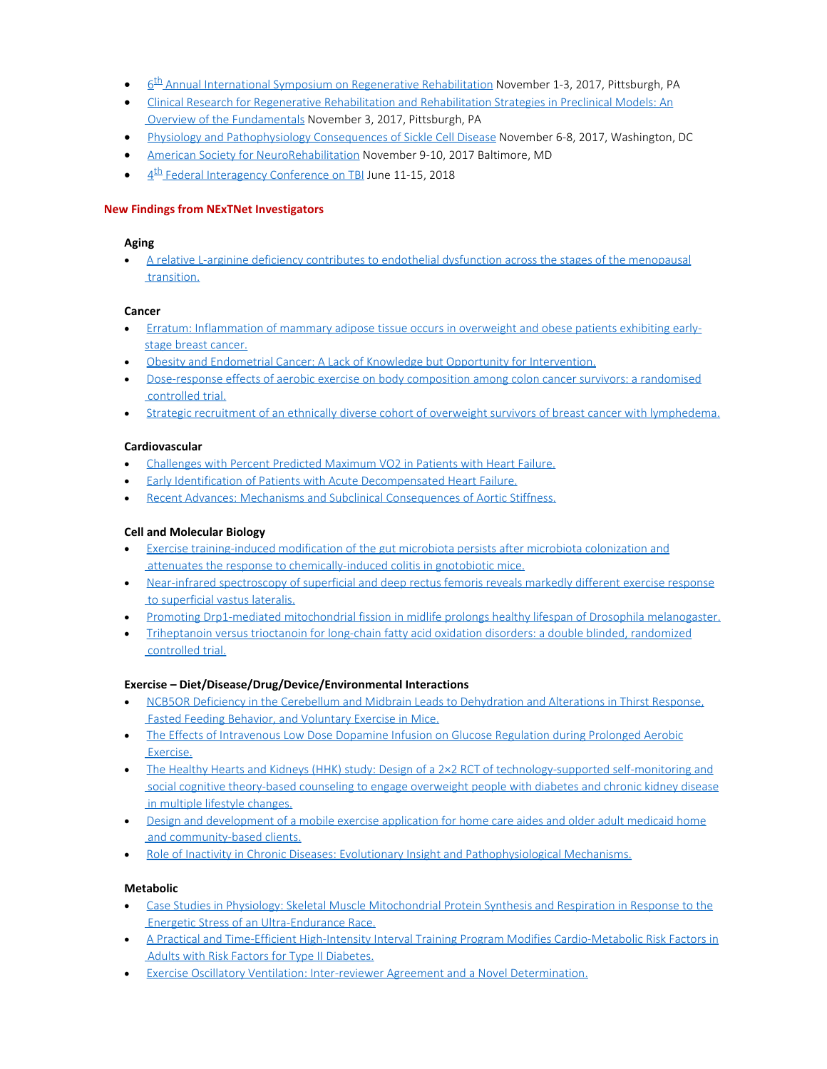- $\cdot$  6<sup>th</sup> Annual International Symposium on Regenerative Rehabilitation November 1-3, 2017, Pittsburgh, PA
- · [Clinical Research for Regenerative Rehabilitation and Rehabilitation Strategies in Preclinical Models: An](http://www.ar3t.pitt.edu/symposium2017/workshops.html) [Overview of the Fundamentals](http://www.ar3t.pitt.edu/symposium2017/workshops.html) November 3, 2017, Pittsburgh, PA
- · [Physiology and Pathophysiology Consequences of Sickle Cell Disease](http://www.the-aps.org/mm/Conferences/APS-Conferences/2017-Conferences/Sickle-Cell) November 6-8, 2017, Washington, DC
- [American Society for NeuroRehabilitation](https://www.asnr.com/i4a/pages/index.cfm?pageID=3769) November 9-10, 2017 Baltimore, MD
- $\bullet$  4<sup>th</sup> Federal Interagency Conference on TBI June 11-15, 2018

# **New Findings from NExTNet Investigators**

## **Aging**

· [A relative L-arginine deficiency contributes to endothelial dysfunction across the stages of the menopausal](https://www.ncbi.nlm.nih.gov/pubmed/28904082) [transition.](https://www.ncbi.nlm.nih.gov/pubmed/28904082)

## **Cancer**

- · [Erratum: Inflammation of mammary adipose tissue occurs in overweight and obese patients exhibiting early](https://www.ncbi.nlm.nih.gov/pubmed/28884144)[stage breast cancer.](https://www.ncbi.nlm.nih.gov/pubmed/28884144)
- · [Obesity and Endometrial Cancer: A Lack of Knowledge but Opportunity for Intervention.](https://www.ncbi.nlm.nih.gov/pubmed/28937804)
- · [Dose-response effects of aerobic exercise on body composition among colon cancer survivors: a randomised](https://www.ncbi.nlm.nih.gov/pubmed/28934762) [controlled trial.](https://www.ncbi.nlm.nih.gov/pubmed/28934762)
- [Strategic recruitment of an ethnically diverse cohort of overweight survivors of breast cancer with lymphedema.](https://www.ncbi.nlm.nih.gov/pubmed/28881471)

## **Cardiovascular**

- · [Challenges with Percent Predicted Maximum VO2 in Patients with Heart Failure.](https://www.ncbi.nlm.nih.gov/pubmed/28938247)
- · [Early Identification of Patients with Acute Decompensated Heart Failure.](https://www.ncbi.nlm.nih.gov/pubmed/28887109)
- · [Recent Advances: Mechanisms and Subclinical Consequences of Aortic Stiffness.](https://www.ncbi.nlm.nih.gov/pubmed/28874465)

# **Cell and Molecular Biology**

- · [Exercise training-induced modification of the gut microbiota persists after microbiota colonization and](http://www.ncbi.nlm.nih.gov/pubmed/28862530) [attenuates the response to chemically-induced colitis in gnotobiotic mice.](http://www.ncbi.nlm.nih.gov/pubmed/28862530)
- · [Near-infrared spectroscopy of superficial and deep rectus femoris reveals markedly different exercise response](https://www.ncbi.nlm.nih.gov/pubmed/28912130) [to superficial vastus lateralis.](https://www.ncbi.nlm.nih.gov/pubmed/28912130)
- · [Promoting Drp1-mediated mitochondrial fission in midlife prolongs healthy lifespan of Drosophila melanogaster.](https://www.ncbi.nlm.nih.gov/pubmed/28878259)
- · [Triheptanoin versus trioctanoin for long-chain fatty acid oxidation disorders: a double blinded, randomized](https://www.ncbi.nlm.nih.gov/pubmed/28871440) [controlled trial.](https://www.ncbi.nlm.nih.gov/pubmed/28871440)

# **Exercise – Diet/Disease/Drug/Device/Environmental Interactions**

- · [NCB5OR Deficiency in the Cerebellum and Midbrain Leads to Dehydration and Alterations in Thirst Response,](http://www.ncbi.nlm.nih.gov/pubmed/28887630) [Fasted Feeding Behavior, and Voluntary Exercise in Mice.](http://www.ncbi.nlm.nih.gov/pubmed/28887630)
- · [The Effects of Intravenous Low Dose Dopamine Infusion on Glucose Regulation during Prolonged Aerobic](https://www.ncbi.nlm.nih.gov/pubmed/28931543) [Exercise.](https://www.ncbi.nlm.nih.gov/pubmed/28931543)
- · [The Healthy Hearts and Kidneys \(HHK\) study: Design of a 2×2 RCT of technology-supported self-monitoring and](https://www.ncbi.nlm.nih.gov/pubmed/28867396) [social cognitive theory-based counseling to engage overweight people with diabetes and chronic kidney disease](https://www.ncbi.nlm.nih.gov/pubmed/28867396) [in multiple lifestyle changes.](https://www.ncbi.nlm.nih.gov/pubmed/28867396)
- · [Design and development of a mobile exercise application for home care aides and older adult medicaid home](https://www.ncbi.nlm.nih.gov/pubmed/28937931) [and community-based clients.](https://www.ncbi.nlm.nih.gov/pubmed/28937931)
- [Role of Inactivity in Chronic Diseases: Evolutionary Insight and Pathophysiological Mechanisms.](https://www.ncbi.nlm.nih.gov/pubmed/28814614)

# **Metabolic**

- · [Case Studies in Physiology: Skeletal Muscle Mitochondrial Protein Synthesis and Respiration in Response to the](https://www.ncbi.nlm.nih.gov/pubmed/28883046) [Energetic Stress of an Ultra-Endurance Race.](https://www.ncbi.nlm.nih.gov/pubmed/28883046)
- · [A Practical and Time-Efficient High-Intensity Interval Training Program Modifies Cardio-Metabolic Risk Factors in](https://www.ncbi.nlm.nih.gov/pubmed/28943861) [Adults with Risk Factors for Type II Diabetes.](https://www.ncbi.nlm.nih.gov/pubmed/28943861)
- · [Exercise Oscillatory Ventilation: Inter-reviewer Agreement and a Novel Determination.](https://www.ncbi.nlm.nih.gov/pubmed/28902683)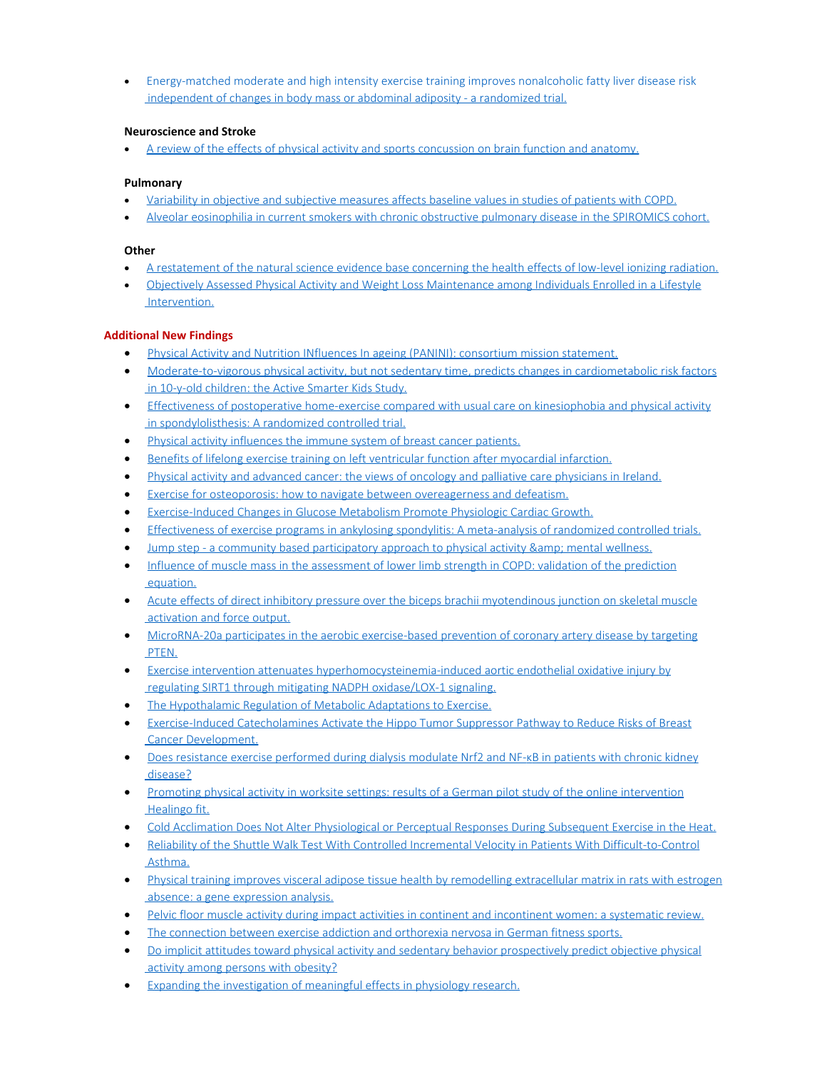· [Energy-matched moderate and high intensity exercise training improves nonalcoholic fatty liver disease risk](https://www.ncbi.nlm.nih.gov/pubmed/28941598) [independent of changes in body mass or abdominal adiposity - a randomized trial.](https://www.ncbi.nlm.nih.gov/pubmed/28941598)

# **Neuroscience and Stroke**

[A review of the effects of physical activity and sports concussion on brain function and anatomy.](https://www.ncbi.nlm.nih.gov/pubmed/28893565)

# **Pulmonary**

- · [Variability in objective and subjective measures affects baseline values in studies of patients with COPD.](https://www.ncbi.nlm.nih.gov/pubmed/28934249)
- [Alveolar eosinophilia in current smokers with chronic obstructive pulmonary disease in the SPIROMICS cohort.](https://www.ncbi.nlm.nih.gov/pubmed/28916185)

#### **Other**

- · [A restatement of the natural science evidence base concerning the health effects of low-level ionizing radiation.](https://www.ncbi.nlm.nih.gov/pubmed/28904138)
- · [Objectively Assessed Physical Activity and Weight Loss Maintenance among Individuals Enrolled in a Lifestyle](https://www.ncbi.nlm.nih.gov/pubmed/28940967) [Intervention.](https://www.ncbi.nlm.nih.gov/pubmed/28940967)

## **Additional New Findings**

- · [Physical Activity and Nutrition INfluences In ageing \(PANINI\): consortium mission statement.](http://www.ncbi.nlm.nih.gov/pubmed/28864957)
- · [Moderate-to-vigorous physical activity, but not sedentary time, predicts changes in cardiometabolic risk factors](http://www.ncbi.nlm.nih.gov/pubmed/28864577) [in 10-y-old children: the Active Smarter Kids Study.](http://www.ncbi.nlm.nih.gov/pubmed/28864577)
- · [Effectiveness of postoperative home-exercise compared with usual care on kinesiophobia and physical activity](http://www.ncbi.nlm.nih.gov/pubmed/28862315) [in spondylolisthesis: A randomized controlled trial.](http://www.ncbi.nlm.nih.gov/pubmed/28862315)
- · [Physical activity influences the immune system of breast cancer patients.](http://www.ncbi.nlm.nih.gov/pubmed/28862198)
- · [Benefits of lifelong exercise training on left ventricular function after myocardial infarction.](http://www.ncbi.nlm.nih.gov/pubmed/28862031)
- [Physical activity and advanced cancer: the views of oncology and palliative care physicians in Ireland.](http://www.ncbi.nlm.nih.gov/pubmed/28861844)
- [Exercise for osteoporosis: how to navigate between overeagerness and defeatism.](http://www.ncbi.nlm.nih.gov/pubmed/28860417)
- [Exercise-Induced Changes in Glucose Metabolism Promote Physiologic Cardiac Growth.](http://www.ncbi.nlm.nih.gov/pubmed/28860122)
- · [Effectiveness of exercise programs in ankylosing spondylitis: A meta-analysis of randomized controlled trials.](http://www.ncbi.nlm.nih.gov/pubmed/28860095)
- Jump step a community based participatory approach to physical activity & amp; mental wellness.
- [Influence of muscle mass in the assessment of lower limb strength in COPD: validation of the prediction](http://www.ncbi.nlm.nih.gov/pubmed/28866643) [equation.](http://www.ncbi.nlm.nih.gov/pubmed/28866643)
- [Acute effects of direct inhibitory pressure over the biceps brachii myotendinous junction on skeletal muscle](http://www.ncbi.nlm.nih.gov/pubmed/28866370) [activation and force output.](http://www.ncbi.nlm.nih.gov/pubmed/28866370)
- · [MicroRNA-20a participates in the aerobic exercise-based prevention of coronary artery disease by targeting](http://www.ncbi.nlm.nih.gov/pubmed/28888922) [PTEN.](http://www.ncbi.nlm.nih.gov/pubmed/28888922)
- · [Exercise intervention attenuates hyperhomocysteinemia-induced aortic endothelial oxidative injury by](http://www.ncbi.nlm.nih.gov/pubmed/28888894) [regulating SIRT1 through mitigating NADPH oxidase/LOX-1 signaling.](http://www.ncbi.nlm.nih.gov/pubmed/28888894)
- · [The Hypothalamic Regulation of Metabolic Adaptations to Exercise.](http://www.ncbi.nlm.nih.gov/pubmed/28887871)
- · [Exercise-Induced Catecholamines Activate the Hippo Tumor Suppressor Pathway to Reduce Risks of Breast](http://www.ncbi.nlm.nih.gov/pubmed/28887324) [Cancer Development.](http://www.ncbi.nlm.nih.gov/pubmed/28887324)
- [Does resistance exercise performed during dialysis modulate Nrf2 and NF-](http://www.ncbi.nlm.nih.gov/pubmed/28887058)κB in patients with chronic kidney [disease?](http://www.ncbi.nlm.nih.gov/pubmed/28887058)
- · [Promoting physical activity in worksite settings: results of a German pilot study of the online intervention](http://www.ncbi.nlm.nih.gov/pubmed/28886734) [Healingo fit.](http://www.ncbi.nlm.nih.gov/pubmed/28886734)
- · [Cold Acclimation Does Not Alter Physiological or Perceptual Responses During Subsequent Exercise in the Heat.](http://www.ncbi.nlm.nih.gov/pubmed/28885962)
- · [Reliability of the Shuttle Walk Test With Controlled Incremental Velocity in Patients With Difficult-to-Control](http://www.ncbi.nlm.nih.gov/pubmed/28885280) [Asthma.](http://www.ncbi.nlm.nih.gov/pubmed/28885280)
- · [Physical training improves visceral adipose tissue health by remodelling extracellular matrix in rats with estrogen](http://www.ncbi.nlm.nih.gov/pubmed/28884865) [absence: a gene expression analysis.](http://www.ncbi.nlm.nih.gov/pubmed/28884865)
- · [Pelvic floor muscle activity during impact activities in continent and incontinent women: a systematic review.](http://www.ncbi.nlm.nih.gov/pubmed/28884367)
- · [The connection between exercise addiction and orthorexia nervosa in German fitness sports.](http://www.ncbi.nlm.nih.gov/pubmed/28884261)
- [Do implicit attitudes toward physical activity and sedentary behavior prospectively predict objective physical](http://www.ncbi.nlm.nih.gov/pubmed/28884258) [activity among persons with obesity?](http://www.ncbi.nlm.nih.gov/pubmed/28884258)
- [Expanding the investigation of meaningful effects in physiology research.](http://www.ncbi.nlm.nih.gov/pubmed/28884014)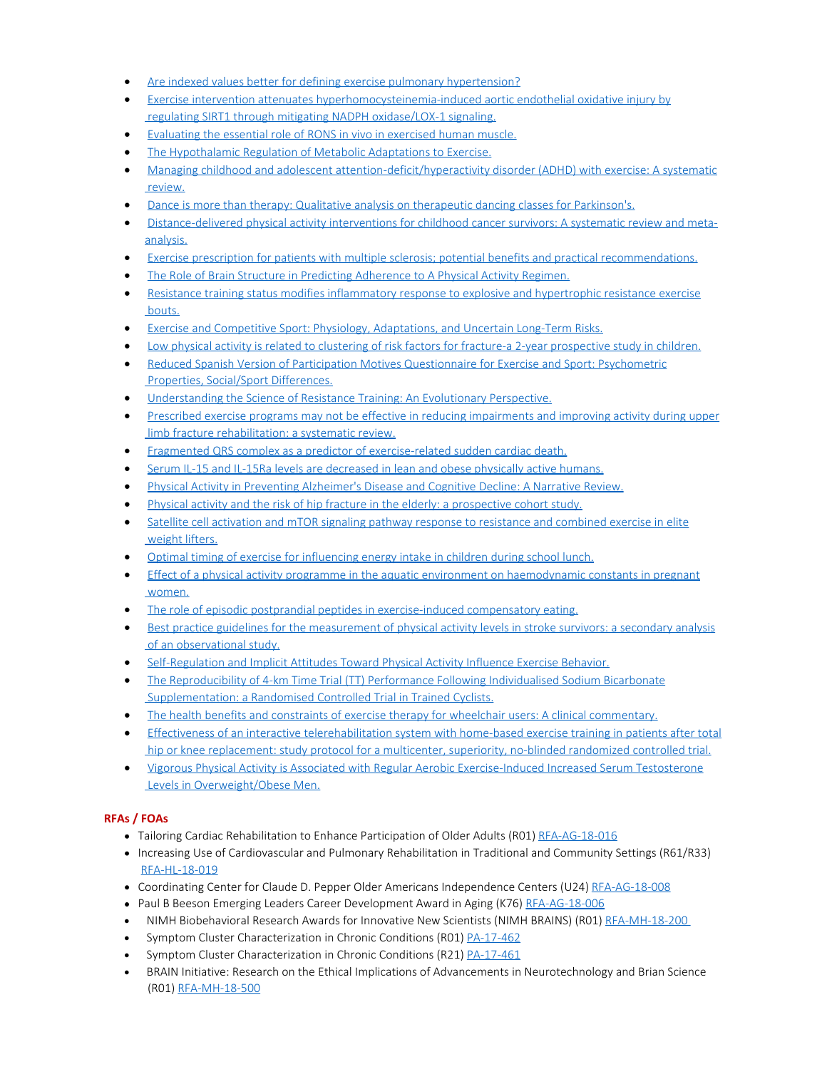- [Are indexed values better for defining exercise pulmonary hypertension?](http://www.ncbi.nlm.nih.gov/pubmed/28889109)
- · [Exercise intervention attenuates hyperhomocysteinemia-induced aortic endothelial oxidative injury by](http://www.ncbi.nlm.nih.gov/pubmed/28888894)  [regulating SIRT1 through mitigating NADPH oxidase/LOX-1 signaling.](http://www.ncbi.nlm.nih.gov/pubmed/28888894)
- [Evaluating the essential role of RONS in vivo in exercised human muscle.](http://www.ncbi.nlm.nih.gov/pubmed/28887887)
- · [The Hypothalamic Regulation of Metabolic Adaptations to Exercise.](http://www.ncbi.nlm.nih.gov/pubmed/28887871)
- [Managing childhood and adolescent attention-deficit/hyperactivity disorder \(ADHD\) with exercise: A systematic](http://www.ncbi.nlm.nih.gov/pubmed/28917364)  [review.](http://www.ncbi.nlm.nih.gov/pubmed/28917364)
- [Dance is more than therapy: Qualitative analysis on therapeutic dancing classes for Parkinson's.](http://www.ncbi.nlm.nih.gov/pubmed/28917359)
- · [Distance-delivered physical activity interventions for childhood cancer survivors: A systematic review and meta](http://www.ncbi.nlm.nih.gov/pubmed/28917267)[analysis.](http://www.ncbi.nlm.nih.gov/pubmed/28917267)
- · [Exercise prescription for patients with multiple sclerosis; potential benefits and practical recommendations.](http://www.ncbi.nlm.nih.gov/pubmed/28915856)
- [The Role of Brain Structure in Predicting Adherence to A Physical Activity Regimen.](http://www.ncbi.nlm.nih.gov/pubmed/28914724)
- · [Resistance training status modifies inflammatory response to explosive and hypertrophic resistance exercise](http://www.ncbi.nlm.nih.gov/pubmed/28914426)  [bouts.](http://www.ncbi.nlm.nih.gov/pubmed/28914426)
- [Exercise and Competitive Sport: Physiology, Adaptations, and Uncertain Long-Term Risks.](http://www.ncbi.nlm.nih.gov/pubmed/28913725)
- · [Low physical activity is related to clustering of risk factors for fracture-a 2-year prospective study in children.](http://www.ncbi.nlm.nih.gov/pubmed/28913570)
- [Reduced Spanish Version of Participation Motives Questionnaire for Exercise and Sport: Psychometric](http://www.ncbi.nlm.nih.gov/pubmed/28912654)  [Properties, Social/Sport Differences.](http://www.ncbi.nlm.nih.gov/pubmed/28912654)
- [Understanding the Science of Resistance Training: An Evolutionary Perspective.](http://www.ncbi.nlm.nih.gov/pubmed/28918566)
- · [Prescribed exercise programs may not be effective in reducing impairments and improving activity during upper](http://www.ncbi.nlm.nih.gov/pubmed/28941967)  [limb fracture rehabilitation: a systematic review.](http://www.ncbi.nlm.nih.gov/pubmed/28941967)
- · [Fragmented QRS complex as a predictor of exercise-related sudden cardiac death.](http://www.ncbi.nlm.nih.gov/pubmed/28940877)
- [Serum IL-15 and IL-15Ra levels are decreased in lean and obese physically active humans.](http://www.ncbi.nlm.nih.gov/pubmed/28940555)
- · [Physical Activity in Preventing Alzheimer's Disease and Cognitive Decline: A Narrative Review.](http://www.ncbi.nlm.nih.gov/pubmed/28940148)
- [Physical activity and the risk of hip fracture in the elderly: a prospective cohort study.](http://www.ncbi.nlm.nih.gov/pubmed/28940092)
- · [Satellite cell activation and mTOR signaling pathway response to resistance and combined exercise in elite](http://www.ncbi.nlm.nih.gov/pubmed/28940037)  [weight lifters.](http://www.ncbi.nlm.nih.gov/pubmed/28940037)
- · [Optimal timing of exercise for influencing energy intake in children during school lunch.](http://www.ncbi.nlm.nih.gov/pubmed/28939408)
- · [Effect of a physical activity programme in the aquatic environment on haemodynamic constants in pregnant](http://www.ncbi.nlm.nih.gov/pubmed/28939330)  [women.](http://www.ncbi.nlm.nih.gov/pubmed/28939330)
- [The role of episodic postprandial peptides in exercise-induced compensatory eating.](http://www.ncbi.nlm.nih.gov/pubmed/28938473)
- [Best practice guidelines for the measurement of physical activity levels in stroke survivors: a secondary analysis](http://www.ncbi.nlm.nih.gov/pubmed/28938232)  [of an observational study.](http://www.ncbi.nlm.nih.gov/pubmed/28938232)
- · [Self-Regulation and Implicit Attitudes Toward Physical Activity Influence Exercise Behavior.](http://www.ncbi.nlm.nih.gov/pubmed/28937320)
- · [The Reproducibility of 4-km Time Trial \(TT\) Performance Following Individualised Sodium Bicarbonate](http://www.ncbi.nlm.nih.gov/pubmed/28936625)  [Supplementation: a Randomised Controlled Trial in Trained Cyclists.](http://www.ncbi.nlm.nih.gov/pubmed/28936625)
- · [The health benefits and constraints of exercise therapy for wheelchair users: A clinical commentary.](http://www.ncbi.nlm.nih.gov/pubmed/28936414)
- · [Effectiveness of an interactive telerehabilitation system with home-based exercise training in patients after total](http://www.ncbi.nlm.nih.gov/pubmed/28934966)  [hip or knee replacement: study protocol for a multicenter, superiority, no-blinded randomized controlled trial.](http://www.ncbi.nlm.nih.gov/pubmed/28934966)
- · [Vigorous Physical Activity is Associated with Regular Aerobic Exercise-Induced Increased Serum Testosterone](http://www.ncbi.nlm.nih.gov/pubmed/28934816)  [Levels in Overweight/Obese Men.](http://www.ncbi.nlm.nih.gov/pubmed/28934816)

# **RFAs / FOAs**

- Tailoring Cardiac Rehabilitation to Enhance Participation of Older Adults (R01) [RFA-AG-18-016](https://grants.nih.gov/grants/guide/rfa-files/RFA-AG-18-016.html)
- Increasing Use of Cardiovascular and Pulmonary Rehabilitation in Traditional and Community Settings (R61/R33) [RFA-HL-18-019](https://grants.nih.gov/grants/guide/rfa-files/RFA-HL-18-019.html)
- Coordinating Center for Claude D. Pepper Older Americans Independence Centers (U24) [RFA-AG-18-008](https://grants.nih.gov/grants/guide/rfa-files/RFA-AG-18-008.html)
- Paul B Beeson Emerging Leaders Career Development Award in Aging (K76) [RFA-AG-18-006](https://grants.nih.gov/grants/guide/rfa-files/RFA-AG-18-006.html)
- NIMH Biobehavioral Research Awards for Innovative New Scientists (NIMH BRAINS) (R01) [RFA-MH-18-200](https://grants.nih.gov/grants/guide/rfa-files/RFA-MH-18-200.html)
- Symptom Cluster Characterization in Chronic Conditions (R01) [PA-17-462](https://grants.nih.gov/grants/guide/pa-files/PA-17-462.html?utm_source=Email_marketing&utm_campaign=Monday_September_18_2017&cmp=1&utm_medium=HTMLEmail)
- Symptom Cluster Characterization in Chronic Conditions (R21) **[PA-17-461](https://grants.nih.gov/grants/guide/pa-files/PA-17-461.html?utm_source=Email_marketing&utm_campaign=Monday_September_18_2017&cmp=1&utm_medium=HTMLEmail)**
- · BRAIN Initiative: Research on the Ethical Implications of Advancements in Neurotechnology and Brian Science (R01) [RFA-MH-18-500](https://grants.nih.gov/grants/guide/rfa-files/RFA-MH-18-500.html?utm_source=Email_marketing&utm_campaign=Monday_September_18_2017&cmp=1&utm_medium=HTMLEmail)